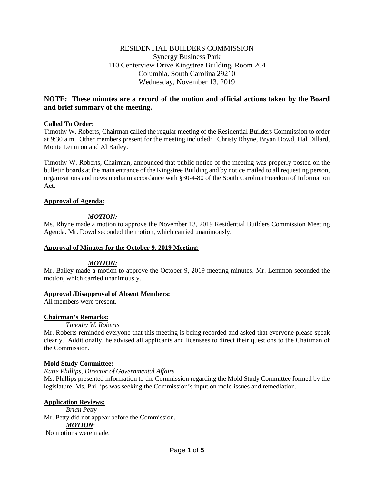# RESIDENTIAL BUILDERS COMMISSION Synergy Business Park 110 Centerview Drive Kingstree Building, Room 204 Columbia, South Carolina 29210 Wednesday, November 13, 2019

# **NOTE: These minutes are a record of the motion and official actions taken by the Board and brief summary of the meeting.**

## **Called To Order:**

Timothy W. Roberts, Chairman called the regular meeting of the Residential Builders Commission to order at 9:30 a.m. Other members present for the meeting included: Christy Rhyne, Bryan Dowd, Hal Dillard, Monte Lemmon and Al Bailey.

Timothy W. Roberts, Chairman, announced that public notice of the meeting was properly posted on the bulletin boards at the main entrance of the Kingstree Building and by notice mailed to all requesting person, organizations and news media in accordance with §30-4-80 of the South Carolina Freedom of Information Act.

## **Approval of Agenda:**

# *MOTION:*

Ms. Rhyne made a motion to approve the November 13, 2019 Residential Builders Commission Meeting Agenda. Mr. Dowd seconded the motion, which carried unanimously.

## **Approval of Minutes for the October 9, 2019 Meeting:**

## *MOTION:*

Mr. Bailey made a motion to approve the October 9, 2019 meeting minutes. Mr. Lemmon seconded the motion, which carried unanimously.

## **Approval /Disapproval of Absent Members:**

All members were present.

## **Chairman's Remarks:**

## *Timothy W. Roberts*

Mr. Roberts reminded everyone that this meeting is being recorded and asked that everyone please speak clearly. Additionally, he advised all applicants and licensees to direct their questions to the Chairman of the Commission.

## **Mold Study Committee:**

*Katie Phillips, Director of Governmental Affairs*  Ms. Phillips presented information to the Commission regarding the Mold Study Committee formed by the legislature. Ms. Phillips was seeking the Commission's input on mold issues and remediation.

## **Application Reviews:**

*Brian Petty*  Mr. Petty did not appear before the Commission. *MOTION*: No motions were made.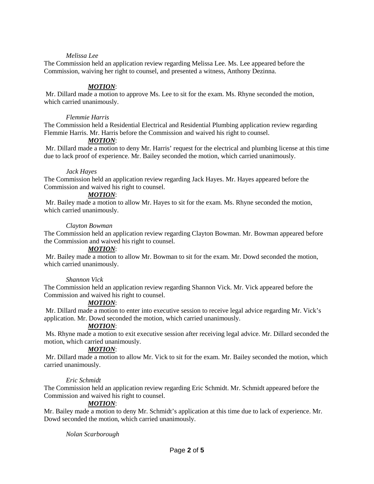## *Melissa Lee*

The Commission held an application review regarding Melissa Lee. Ms. Lee appeared before the Commission, waiving her right to counsel, and presented a witness, Anthony Dezinna.

## *MOTION*:

Mr. Dillard made a motion to approve Ms. Lee to sit for the exam. Ms. Rhyne seconded the motion, which carried unanimously.

### *Flemmie Harris*

The Commission held a Residential Electrical and Residential Plumbing application review regarding Flemmie Harris. Mr. Harris before the Commission and waived his right to counsel.

## *MOTION*:

Mr. Dillard made a motion to deny Mr. Harris' request for the electrical and plumbing license at this time due to lack proof of experience. Mr. Bailey seconded the motion, which carried unanimously.

### *Jack Hayes*

The Commission held an application review regarding Jack Hayes. Mr. Hayes appeared before the Commission and waived his right to counsel.

# *MOTION*:

Mr. Bailey made a motion to allow Mr. Hayes to sit for the exam. Ms. Rhyne seconded the motion, which carried unanimously.

### *Clayton Bowman*

The Commission held an application review regarding Clayton Bowman. Mr. Bowman appeared before the Commission and waived his right to counsel.

#### *MOTION*:

Mr. Bailey made a motion to allow Mr. Bowman to sit for the exam. Mr. Dowd seconded the motion, which carried unanimously.

### *Shannon Vick*

The Commission held an application review regarding Shannon Vick. Mr. Vick appeared before the Commission and waived his right to counsel.

## *MOTION*:

Mr. Dillard made a motion to enter into executive session to receive legal advice regarding Mr. Vick's application. Mr. Dowd seconded the motion, which carried unanimously.

# *MOTION*:

Ms. Rhyne made a motion to exit executive session after receiving legal advice. Mr. Dillard seconded the motion, which carried unanimously.

## *MOTION*:

Mr. Dillard made a motion to allow Mr. Vick to sit for the exam. Mr. Bailey seconded the motion, which carried unanimously.

#### *Eric Schmidt*

The Commission held an application review regarding Eric Schmidt. Mr. Schmidt appeared before the Commission and waived his right to counsel.

## *MOTION*:

Mr. Bailey made a motion to deny Mr. Schmidt's application at this time due to lack of experience. Mr. Dowd seconded the motion, which carried unanimously.

## *Nolan Scarborough*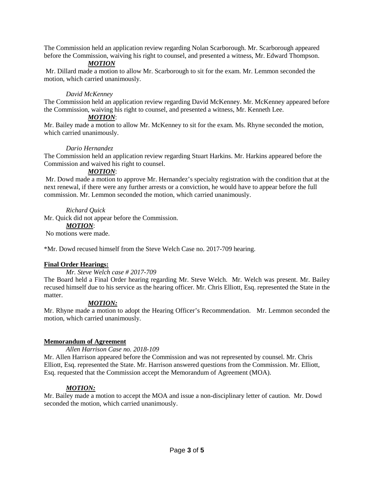The Commission held an application review regarding Nolan Scarborough. Mr. Scarborough appeared before the Commission, waiving his right to counsel, and presented a witness, Mr. Edward Thompson.

# *MOTION*

Mr. Dillard made a motion to allow Mr. Scarborough to sit for the exam. Mr. Lemmon seconded the motion, which carried unanimously.

## *David McKenney*

The Commission held an application review regarding David McKenney. Mr. McKenney appeared before the Commission, waiving his right to counsel, and presented a witness, Mr. Kenneth Lee.

## *MOTION*:

Mr. Bailey made a motion to allow Mr. McKenney to sit for the exam. Ms. Rhyne seconded the motion, which carried unanimously.

## *Dario Hernandez*

The Commission held an application review regarding Stuart Harkins. Mr. Harkins appeared before the Commission and waived his right to counsel.

# *MOTION*:

Mr. Dowd made a motion to approve Mr. Hernandez's specialty registration with the condition that at the next renewal, if there were any further arrests or a conviction, he would have to appear before the full commission. Mr. Lemmon seconded the motion, which carried unanimously.

# *Richard Quick*

Mr. Quick did not appear before the Commission.

## *MOTION*:

No motions were made.

\*Mr. Dowd recused himself from the Steve Welch Case no. 2017-709 hearing.

## **Final Order Hearings:**

## *Mr. Steve Welch case # 2017-709*

The Board held a Final Order hearing regarding Mr. Steve Welch. Mr. Welch was present. Mr. Bailey recused himself due to his service as the hearing officer. Mr. Chris Elliott, Esq. represented the State in the matter.

# *MOTION:*

Mr. Rhyne made a motion to adopt the Hearing Officer's Recommendation. Mr. Lemmon seconded the motion, which carried unanimously.

## **Memorandum of Agreement**

*Allen Harrison Case no. 2018-109*

Mr. Allen Harrison appeared before the Commission and was not represented by counsel. Mr. Chris Elliott, Esq. represented the State. Mr. Harrison answered questions from the Commission. Mr. Elliott, Esq. requested that the Commission accept the Memorandum of Agreement (MOA).

# *MOTION:*

Mr. Bailey made a motion to accept the MOA and issue a non-disciplinary letter of caution. Mr. Dowd seconded the motion, which carried unanimously.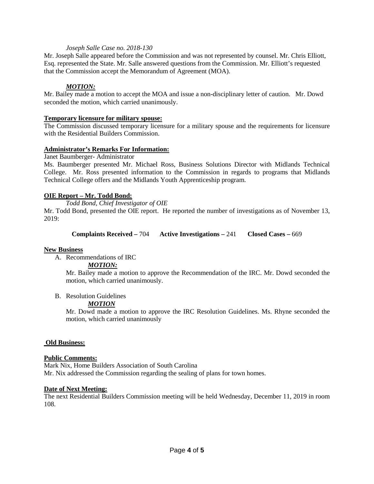## *Joseph Salle Case no. 2018-130*

Mr. Joseph Salle appeared before the Commission and was not represented by counsel. Mr. Chris Elliott, Esq. represented the State. Mr. Salle answered questions from the Commission. Mr. Elliott's requested that the Commission accept the Memorandum of Agreement (MOA).

## *MOTION:*

Mr. Bailey made a motion to accept the MOA and issue a non-disciplinary letter of caution. Mr. Dowd seconded the motion, which carried unanimously.

### **Temporary licensure for military spouse:**

The Commission discussed temporary licensure for a military spouse and the requirements for licensure with the Residential Builders Commission.

### **Administrator's Remarks For Information:**

Janet Baumberger- Administrator

Ms. Baumberger presented Mr. Michael Ross, Business Solutions Director with Midlands Technical College. Mr. Ross presented information to the Commission in regards to programs that Midlands Technical College offers and the Midlands Youth Apprenticeship program.

## **OIE Report – Mr. Todd Bond:**

*Todd Bond, Chief Investigator of OIE*

Mr. Todd Bond, presented the OIE report. He reported the number of investigations as of November 13, 2019:

**Complaints Received –** 704 **Active Investigations –** 241 **Closed Cases –** 669

## **New Business**

A. Recommendations of IRC

## *MOTION:*

Mr. Bailey made a motion to approve the Recommendation of the IRC. Mr. Dowd seconded the motion, which carried unanimously.

B. Resolution Guidelines

## *MOTION*

Mr. Dowd made a motion to approve the IRC Resolution Guidelines. Ms. Rhyne seconded the motion, which carried unanimously

## **Old Business:**

## **Public Comments:**

Mark Nix, Home Builders Association of South Carolina Mr. Nix addressed the Commission regarding the sealing of plans for town homes.

## **Date of Next Meeting:**

The next Residential Builders Commission meeting will be held Wednesday, December 11, 2019 in room 108.